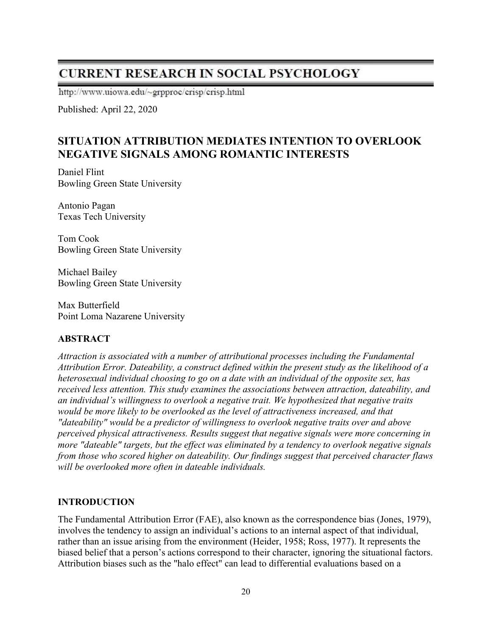# **CURRENT RESEARCH IN SOCIAL PSYCHOLOGY**

http://www.uiowa.edu/~grpproc/crisp/crisp.html

Published: April 22, 2020

# SITUATION ATTRIBUTION MEDIATES INTENTION TO OVERLOOK NEGATIVE SIGNALS AMONG ROMANTIC INTERESTS

Daniel Flint Bowling Green State University

Antonio Pagan Texas Tech University

Tom Cook Bowling Green State University

Michael Bailey Bowling Green State University

Max Butterfield Point Loma Nazarene University

# ABSTRACT

Attraction is associated with a number of attributional processes including the Fundamental Attribution Error. Dateability, a construct defined within the present study as the likelihood of a heterosexual individual choosing to go on a date with an individual of the opposite sex, has received less attention. This study examines the associations between attraction, dateability, and an individual's willingness to overlook a negative trait. We hypothesized that negative traits would be more likely to be overlooked as the level of attractiveness increased, and that "dateability" would be a predictor of willingness to overlook negative traits over and above perceived physical attractiveness. Results suggest that negative signals were more concerning in more "dateable" targets, but the effect was eliminated by a tendency to overlook negative signals from those who scored higher on dateability. Our findings suggest that perceived character flaws will be overlooked more often in dateable individuals.

## INTRODUCTION

The Fundamental Attribution Error (FAE), also known as the correspondence bias (Jones, 1979), involves the tendency to assign an individual's actions to an internal aspect of that individual, rather than an issue arising from the environment (Heider, 1958; Ross, 1977). It represents the biased belief that a person's actions correspond to their character, ignoring the situational factors. Attribution biases such as the "halo effect" can lead to differential evaluations based on a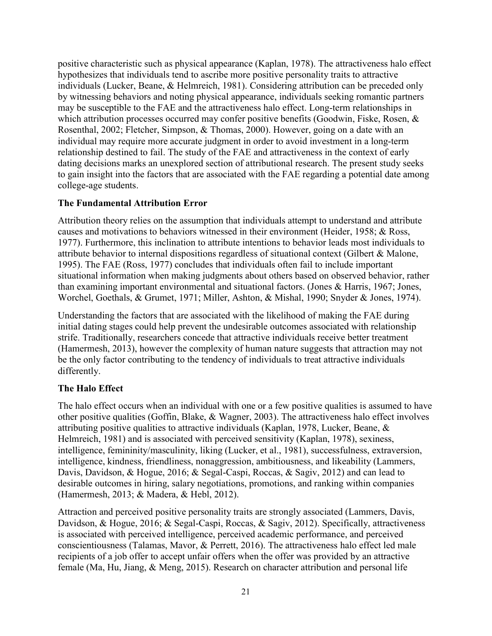positive characteristic such as physical appearance (Kaplan, 1978). The attractiveness halo effect hypothesizes that individuals tend to ascribe more positive personality traits to attractive individuals (Lucker, Beane, & Helmreich, 1981). Considering attribution can be preceded only by witnessing behaviors and noting physical appearance, individuals seeking romantic partners may be susceptible to the FAE and the attractiveness halo effect. Long-term relationships in which attribution processes occurred may confer positive benefits (Goodwin, Fiske, Rosen, & Rosenthal, 2002; Fletcher, Simpson, & Thomas, 2000). However, going on a date with an individual may require more accurate judgment in order to avoid investment in a long-term relationship destined to fail. The study of the FAE and attractiveness in the context of early dating decisions marks an unexplored section of attributional research. The present study seeks to gain insight into the factors that are associated with the FAE regarding a potential date among college-age students.

## The Fundamental Attribution Error

Attribution theory relies on the assumption that individuals attempt to understand and attribute causes and motivations to behaviors witnessed in their environment (Heider, 1958; & Ross, 1977). Furthermore, this inclination to attribute intentions to behavior leads most individuals to attribute behavior to internal dispositions regardless of situational context (Gilbert & Malone, 1995). The FAE (Ross, 1977) concludes that individuals often fail to include important situational information when making judgments about others based on observed behavior, rather than examining important environmental and situational factors. (Jones & Harris, 1967; Jones, Worchel, Goethals, & Grumet, 1971; Miller, Ashton, & Mishal, 1990; Snyder & Jones, 1974).

Understanding the factors that are associated with the likelihood of making the FAE during initial dating stages could help prevent the undesirable outcomes associated with relationship strife. Traditionally, researchers concede that attractive individuals receive better treatment (Hamermesh, 2013), however the complexity of human nature suggests that attraction may not be the only factor contributing to the tendency of individuals to treat attractive individuals differently.

# The Halo Effect

The halo effect occurs when an individual with one or a few positive qualities is assumed to have other positive qualities (Goffin, Blake, & Wagner, 2003). The attractiveness halo effect involves attributing positive qualities to attractive individuals (Kaplan, 1978, Lucker, Beane, & Helmreich, 1981) and is associated with perceived sensitivity (Kaplan, 1978), sexiness, intelligence, femininity/masculinity, liking (Lucker, et al., 1981), successfulness, extraversion, intelligence, kindness, friendliness, nonaggression, ambitiousness, and likeability (Lammers, Davis, Davidson, & Hogue, 2016; & Segal-Caspi, Roccas, & Sagiv, 2012) and can lead to desirable outcomes in hiring, salary negotiations, promotions, and ranking within companies (Hamermesh, 2013; & Madera, & Hebl, 2012).

Attraction and perceived positive personality traits are strongly associated (Lammers, Davis, Davidson, & Hogue, 2016; & Segal-Caspi, Roccas, & Sagiv, 2012). Specifically, attractiveness is associated with perceived intelligence, perceived academic performance, and perceived conscientiousness (Talamas, Mavor, & Perrett, 2016). The attractiveness halo effect led male recipients of a job offer to accept unfair offers when the offer was provided by an attractive female (Ma, Hu, Jiang, & Meng, 2015). Research on character attribution and personal life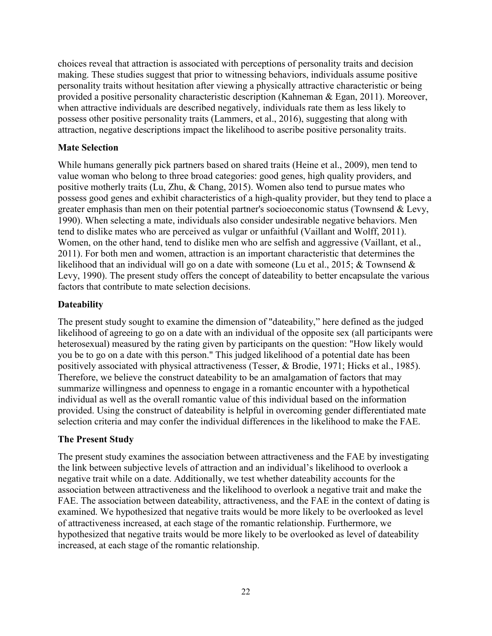choices reveal that attraction is associated with perceptions of personality traits and decision making. These studies suggest that prior to witnessing behaviors, individuals assume positive personality traits without hesitation after viewing a physically attractive characteristic or being provided a positive personality characteristic description (Kahneman & Egan, 2011). Moreover, when attractive individuals are described negatively, individuals rate them as less likely to possess other positive personality traits (Lammers, et al., 2016), suggesting that along with attraction, negative descriptions impact the likelihood to ascribe positive personality traits.

## Mate Selection

While humans generally pick partners based on shared traits (Heine et al., 2009), men tend to value woman who belong to three broad categories: good genes, high quality providers, and positive motherly traits (Lu, Zhu, & Chang, 2015). Women also tend to pursue mates who possess good genes and exhibit characteristics of a high-quality provider, but they tend to place a greater emphasis than men on their potential partner's socioeconomic status (Townsend & Levy, 1990). When selecting a mate, individuals also consider undesirable negative behaviors. Men tend to dislike mates who are perceived as vulgar or unfaithful (Vaillant and Wolff, 2011). Women, on the other hand, tend to dislike men who are selfish and aggressive (Vaillant, et al., 2011). For both men and women, attraction is an important characteristic that determines the likelihood that an individual will go on a date with someone (Lu et al., 2015; & Townsend & Levy, 1990). The present study offers the concept of dateability to better encapsulate the various factors that contribute to mate selection decisions.

# **Dateability**

The present study sought to examine the dimension of "dateability," here defined as the judged likelihood of agreeing to go on a date with an individual of the opposite sex (all participants were heterosexual) measured by the rating given by participants on the question: "How likely would you be to go on a date with this person." This judged likelihood of a potential date has been positively associated with physical attractiveness (Tesser, & Brodie, 1971; Hicks et al., 1985). Therefore, we believe the construct dateability to be an amalgamation of factors that may summarize willingness and openness to engage in a romantic encounter with a hypothetical individual as well as the overall romantic value of this individual based on the information provided. Using the construct of dateability is helpful in overcoming gender differentiated mate selection criteria and may confer the individual differences in the likelihood to make the FAE.

## The Present Study

The present study examines the association between attractiveness and the FAE by investigating the link between subjective levels of attraction and an individual's likelihood to overlook a negative trait while on a date. Additionally, we test whether dateability accounts for the association between attractiveness and the likelihood to overlook a negative trait and make the FAE. The association between dateability, attractiveness, and the FAE in the context of dating is examined. We hypothesized that negative traits would be more likely to be overlooked as level of attractiveness increased, at each stage of the romantic relationship. Furthermore, we hypothesized that negative traits would be more likely to be overlooked as level of dateability increased, at each stage of the romantic relationship.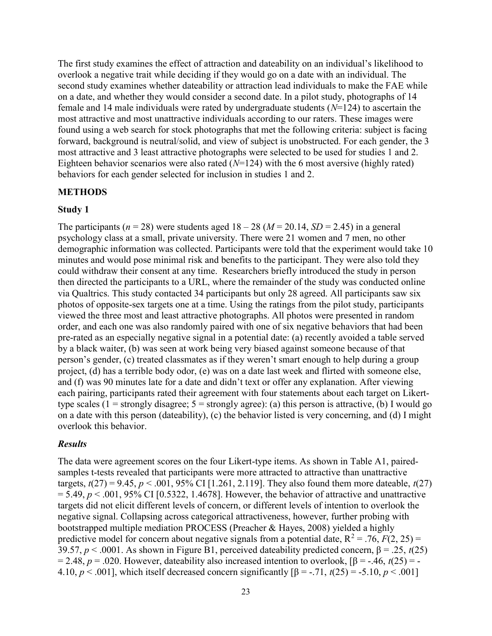The first study examines the effect of attraction and dateability on an individual's likelihood to overlook a negative trait while deciding if they would go on a date with an individual. The second study examines whether dateability or attraction lead individuals to make the FAE while on a date, and whether they would consider a second date. In a pilot study, photographs of 14 female and 14 male individuals were rated by undergraduate students  $(N=124)$  to ascertain the most attractive and most unattractive individuals according to our raters. These images were found using a web search for stock photographs that met the following criteria: subject is facing forward, background is neutral/solid, and view of subject is unobstructed. For each gender, the 3 most attractive and 3 least attractive photographs were selected to be used for studies 1 and 2. Eighteen behavior scenarios were also rated  $(N=124)$  with the 6 most aversive (highly rated) behaviors for each gender selected for inclusion in studies 1 and 2.

#### METHODS

#### Study 1

The participants ( $n = 28$ ) were students aged  $18 - 28$  ( $M = 20.14$ ,  $SD = 2.45$ ) in a general psychology class at a small, private university. There were 21 women and 7 men, no other demographic information was collected. Participants were told that the experiment would take 10 minutes and would pose minimal risk and benefits to the participant. They were also told they could withdraw their consent at any time. Researchers briefly introduced the study in person then directed the participants to a URL, where the remainder of the study was conducted online via Qualtrics. This study contacted 34 participants but only 28 agreed. All participants saw six photos of opposite-sex targets one at a time. Using the ratings from the pilot study, participants viewed the three most and least attractive photographs. All photos were presented in random order, and each one was also randomly paired with one of six negative behaviors that had been pre-rated as an especially negative signal in a potential date: (a) recently avoided a table served by a black waiter, (b) was seen at work being very biased against someone because of that person's gender, (c) treated classmates as if they weren't smart enough to help during a group project, (d) has a terrible body odor, (e) was on a date last week and flirted with someone else, and (f) was 90 minutes late for a date and didn't text or offer any explanation. After viewing each pairing, participants rated their agreement with four statements about each target on Likerttype scales (1 = strongly disagree;  $5 =$  strongly agree): (a) this person is attractive, (b) I would go on a date with this person (dateability), (c) the behavior listed is very concerning, and (d) I might overlook this behavior.

## Results

The data were agreement scores on the four Likert-type items. As shown in Table A1, pairedsamples t-tests revealed that participants were more attracted to attractive than unattractive targets,  $t(27) = 9.45$ ,  $p < .001$ , 95% CI [1.261, 2.119]. They also found them more dateable,  $t(27)$  $= 5.49, p < .001, 95\%$  CI [0.5322, 1.4678]. However, the behavior of attractive and unattractive targets did not elicit different levels of concern, or different levels of intention to overlook the negative signal. Collapsing across categorical attractiveness, however, further probing with bootstrapped multiple mediation PROCESS (Preacher & Hayes, 2008) yielded a highly predictive model for concern about negative signals from a potential date,  $R^2 = .76$ ,  $F(2, 25) =$ 39.57,  $p < .0001$ . As shown in Figure B1, perceived dateability predicted concern,  $\beta = .25$ ,  $t(25)$ = 2.48, p = .020. However, dateability also increased intention to overlook,  $\beta$  = -.46,  $t(25)$  = -4.10,  $p < .001$ ], which itself decreased concern significantly  $\beta = -.71$ ,  $t(25) = .5.10$ ,  $p < .001$ ]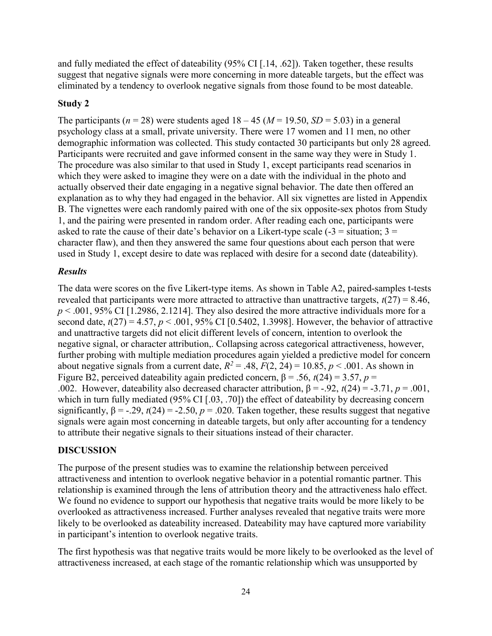and fully mediated the effect of dateability (95% CI [.14, .62]). Taken together, these results suggest that negative signals were more concerning in more dateable targets, but the effect was eliminated by a tendency to overlook negative signals from those found to be most dateable.

## Study 2

The participants ( $n = 28$ ) were students aged  $18 - 45$  ( $M = 19.50$ ,  $SD = 5.03$ ) in a general psychology class at a small, private university. There were 17 women and 11 men, no other demographic information was collected. This study contacted 30 participants but only 28 agreed. Participants were recruited and gave informed consent in the same way they were in Study 1. The procedure was also similar to that used in Study 1, except participants read scenarios in which they were asked to imagine they were on a date with the individual in the photo and actually observed their date engaging in a negative signal behavior. The date then offered an explanation as to why they had engaged in the behavior. All six vignettes are listed in Appendix B. The vignettes were each randomly paired with one of the six opposite-sex photos from Study 1, and the pairing were presented in random order. After reading each one, participants were asked to rate the cause of their date's behavior on a Likert-type scale  $(-3)$  = situation; 3 = character flaw), and then they answered the same four questions about each person that were used in Study 1, except desire to date was replaced with desire for a second date (dateability).

## Results

The data were scores on the five Likert-type items. As shown in Table A2, paired-samples t-tests revealed that participants were more attracted to attractive than unattractive targets,  $t(27) = 8.46$ ,  $p < .001$ , 95% CI [1.2986, 2.1214]. They also desired the more attractive individuals more for a second date,  $t(27) = 4.57$ ,  $p < .001$ , 95% CI [0.5402, 1.3998]. However, the behavior of attractive and unattractive targets did not elicit different levels of concern, intention to overlook the negative signal, or character attribution,. Collapsing across categorical attractiveness, however, further probing with multiple mediation procedures again yielded a predictive model for concern about negative signals from a current date,  $R^2 = .48$ ,  $F(2, 24) = 10.85$ ,  $p < .001$ . As shown in Figure B2, perceived dateability again predicted concern,  $\beta$  = .56,  $t(24)$  = 3.57,  $p$  = .002. However, dateability also decreased character attribution,  $\beta = -.92$ ,  $t(24) = .3.71$ ,  $p = .001$ , which in turn fully mediated (95% CI [.03, .70]) the effect of dateability by decreasing concern significantly,  $\beta = -0.29$ ,  $t(24) = -0.50$ ,  $p = 0.020$ . Taken together, these results suggest that negative signals were again most concerning in dateable targets, but only after accounting for a tendency to attribute their negative signals to their situations instead of their character.

## DISCUSSION

The purpose of the present studies was to examine the relationship between perceived attractiveness and intention to overlook negative behavior in a potential romantic partner. This relationship is examined through the lens of attribution theory and the attractiveness halo effect. We found no evidence to support our hypothesis that negative traits would be more likely to be overlooked as attractiveness increased. Further analyses revealed that negative traits were more likely to be overlooked as dateability increased. Dateability may have captured more variability in participant's intention to overlook negative traits.

The first hypothesis was that negative traits would be more likely to be overlooked as the level of attractiveness increased, at each stage of the romantic relationship which was unsupported by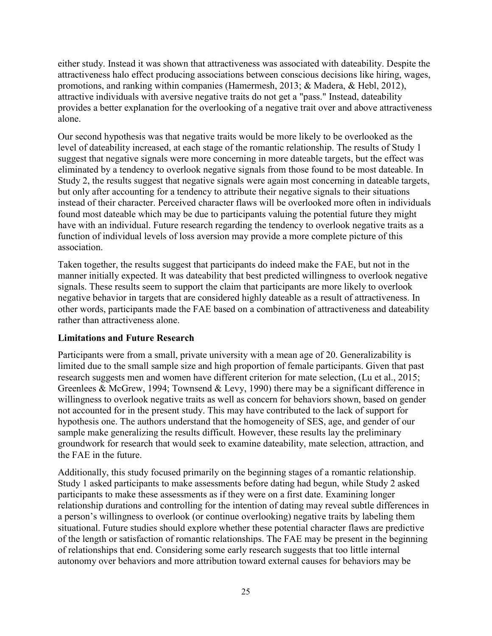either study. Instead it was shown that attractiveness was associated with dateability. Despite the attractiveness halo effect producing associations between conscious decisions like hiring, wages, promotions, and ranking within companies (Hamermesh, 2013; & Madera, & Hebl, 2012), attractive individuals with aversive negative traits do not get a "pass." Instead, dateability provides a better explanation for the overlooking of a negative trait over and above attractiveness alone.

Our second hypothesis was that negative traits would be more likely to be overlooked as the level of dateability increased, at each stage of the romantic relationship. The results of Study 1 suggest that negative signals were more concerning in more dateable targets, but the effect was eliminated by a tendency to overlook negative signals from those found to be most dateable. In Study 2, the results suggest that negative signals were again most concerning in dateable targets, but only after accounting for a tendency to attribute their negative signals to their situations instead of their character. Perceived character flaws will be overlooked more often in individuals found most dateable which may be due to participants valuing the potential future they might have with an individual. Future research regarding the tendency to overlook negative traits as a function of individual levels of loss aversion may provide a more complete picture of this association.

Taken together, the results suggest that participants do indeed make the FAE, but not in the manner initially expected. It was dateability that best predicted willingness to overlook negative signals. These results seem to support the claim that participants are more likely to overlook negative behavior in targets that are considered highly dateable as a result of attractiveness. In other words, participants made the FAE based on a combination of attractiveness and dateability rather than attractiveness alone.

## Limitations and Future Research

Participants were from a small, private university with a mean age of 20. Generalizability is limited due to the small sample size and high proportion of female participants. Given that past research suggests men and women have different criterion for mate selection, (Lu et al., 2015; Greenlees & McGrew, 1994; Townsend & Levy, 1990) there may be a significant difference in willingness to overlook negative traits as well as concern for behaviors shown, based on gender not accounted for in the present study. This may have contributed to the lack of support for hypothesis one. The authors understand that the homogeneity of SES, age, and gender of our sample make generalizing the results difficult. However, these results lay the preliminary groundwork for research that would seek to examine dateability, mate selection, attraction, and the FAE in the future.

Additionally, this study focused primarily on the beginning stages of a romantic relationship. Study 1 asked participants to make assessments before dating had begun, while Study 2 asked participants to make these assessments as if they were on a first date. Examining longer relationship durations and controlling for the intention of dating may reveal subtle differences in a person's willingness to overlook (or continue overlooking) negative traits by labeling them situational. Future studies should explore whether these potential character flaws are predictive of the length or satisfaction of romantic relationships. The FAE may be present in the beginning of relationships that end. Considering some early research suggests that too little internal autonomy over behaviors and more attribution toward external causes for behaviors may be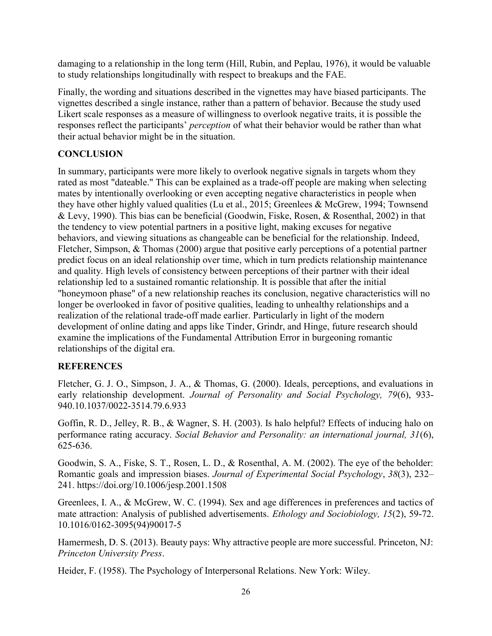damaging to a relationship in the long term (Hill, Rubin, and Peplau, 1976), it would be valuable to study relationships longitudinally with respect to breakups and the FAE.

Finally, the wording and situations described in the vignettes may have biased participants. The vignettes described a single instance, rather than a pattern of behavior. Because the study used Likert scale responses as a measure of willingness to overlook negative traits, it is possible the responses reflect the participants' *perception* of what their behavior would be rather than what their actual behavior might be in the situation.

## **CONCLUSION**

In summary, participants were more likely to overlook negative signals in targets whom they rated as most "dateable." This can be explained as a trade-off people are making when selecting mates by intentionally overlooking or even accepting negative characteristics in people when they have other highly valued qualities (Lu et al., 2015; Greenlees & McGrew, 1994; Townsend & Levy, 1990). This bias can be beneficial (Goodwin, Fiske, Rosen, & Rosenthal, 2002) in that the tendency to view potential partners in a positive light, making excuses for negative behaviors, and viewing situations as changeable can be beneficial for the relationship. Indeed, Fletcher, Simpson, & Thomas (2000) argue that positive early perceptions of a potential partner predict focus on an ideal relationship over time, which in turn predicts relationship maintenance and quality. High levels of consistency between perceptions of their partner with their ideal relationship led to a sustained romantic relationship. It is possible that after the initial "honeymoon phase" of a new relationship reaches its conclusion, negative characteristics will no longer be overlooked in favor of positive qualities, leading to unhealthy relationships and a realization of the relational trade-off made earlier. Particularly in light of the modern development of online dating and apps like Tinder, Grindr, and Hinge, future research should examine the implications of the Fundamental Attribution Error in burgeoning romantic relationships of the digital era.

## **REFERENCES**

Fletcher, G. J. O., Simpson, J. A., & Thomas, G. (2000). Ideals, perceptions, and evaluations in early relationship development. Journal of Personality and Social Psychology, 79(6), 933-940.10.1037/0022-3514.79.6.933

Goffin, R. D., Jelley, R. B., & Wagner, S. H. (2003). Is halo helpful? Effects of inducing halo on performance rating accuracy. Social Behavior and Personality: an international journal, 31(6), 625-636.

Goodwin, S. A., Fiske, S. T., Rosen, L. D., & Rosenthal, A. M. (2002). The eye of the beholder: Romantic goals and impression biases. Journal of Experimental Social Psychology, 38(3), 232– 241. https://doi.org/10.1006/jesp.2001.1508

Greenlees, I. A., & McGrew, W. C. (1994). Sex and age differences in preferences and tactics of mate attraction: Analysis of published advertisements. Ethology and Sociobiology, 15(2), 59-72. 10.1016/0162-3095(94)90017-5

Hamermesh, D. S. (2013). Beauty pays: Why attractive people are more successful. Princeton, NJ: Princeton University Press.

Heider, F. (1958). The Psychology of Interpersonal Relations. New York: Wiley.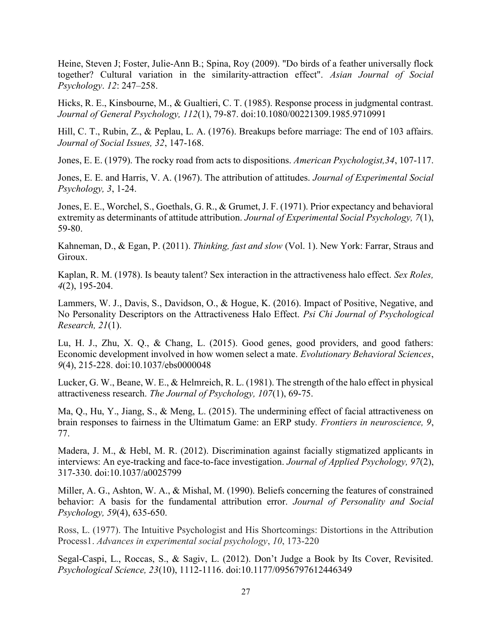Heine, Steven J; Foster, Julie-Ann B.; Spina, Roy (2009). "Do birds of a feather universally flock together? Cultural variation in the similarity-attraction effect". Asian Journal of Social Psychology. 12: 247–258.

Hicks, R. E., Kinsbourne, M., & Gualtieri, C. T. (1985). Response process in judgmental contrast. Journal of General Psychology, 112(1), 79-87. doi:10.1080/00221309.1985.9710991

Hill, C. T., Rubin, Z., & Peplau, L. A. (1976). Breakups before marriage: The end of 103 affairs. Journal of Social Issues, 32, 147-168.

Jones, E. E. (1979). The rocky road from acts to dispositions. American Psychologist,34, 107-117.

Jones, E. E. and Harris, V. A. (1967). The attribution of attitudes. Journal of Experimental Social Psychology, 3, 1-24.

Jones, E. E., Worchel, S., Goethals, G. R., & Grumet, J. F. (1971). Prior expectancy and behavioral extremity as determinants of attitude attribution. Journal of Experimental Social Psychology, 7(1), 59-80.

Kahneman, D., & Egan, P. (2011). Thinking, fast and slow (Vol. 1). New York: Farrar, Straus and Giroux.

Kaplan, R. M. (1978). Is beauty talent? Sex interaction in the attractiveness halo effect. Sex Roles, 4(2), 195-204.

Lammers, W. J., Davis, S., Davidson, O., & Hogue, K. (2016). Impact of Positive, Negative, and No Personality Descriptors on the Attractiveness Halo Effect. Psi Chi Journal of Psychological Research,  $21(1)$ .

Lu, H. J., Zhu, X. Q., & Chang, L. (2015). Good genes, good providers, and good fathers: Economic development involved in how women select a mate. Evolutionary Behavioral Sciences, 9(4), 215-228. doi:10.1037/ebs0000048

Lucker, G. W., Beane, W. E., & Helmreich, R. L. (1981). The strength of the halo effect in physical attractiveness research. The Journal of Psychology, 107(1), 69-75.

Ma, Q., Hu, Y., Jiang, S., & Meng, L. (2015). The undermining effect of facial attractiveness on brain responses to fairness in the Ultimatum Game: an ERP study. Frontiers in neuroscience, 9, 77.

Madera, J. M., & Hebl, M. R. (2012). Discrimination against facially stigmatized applicants in interviews: An eye-tracking and face-to-face investigation. Journal of Applied Psychology, 97(2), 317-330. doi:10.1037/a0025799

Miller, A. G., Ashton, W. A., & Mishal, M. (1990). Beliefs concerning the features of constrained behavior: A basis for the fundamental attribution error. Journal of Personality and Social Psychology, 59(4), 635-650.

Ross, L. (1977). The Intuitive Psychologist and His Shortcomings: Distortions in the Attribution Process1. Advances in experimental social psychology, 10, 173-220

Segal-Caspi, L., Roccas, S., & Sagiv, L. (2012). Don't Judge a Book by Its Cover, Revisited. Psychological Science, 23(10), 1112-1116. doi:10.1177/0956797612446349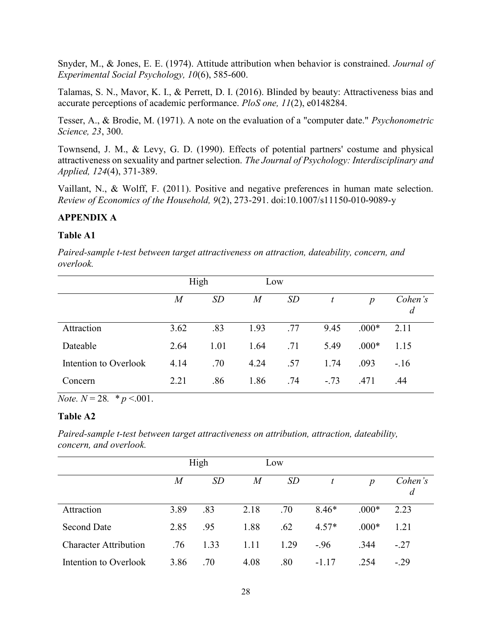Snyder, M., & Jones, E. E. (1974). Attitude attribution when behavior is constrained. Journal of Experimental Social Psychology, 10(6), 585-600.

Talamas, S. N., Mavor, K. I., & Perrett, D. I. (2016). Blinded by beauty: Attractiveness bias and accurate perceptions of academic performance. PloS one, 11(2), e0148284.

Tesser, A., & Brodie, M. (1971). A note on the evaluation of a "computer date." Psychonometric Science, 23, 300.

Townsend, J. M., & Levy, G. D. (1990). Effects of potential partners' costume and physical attractiveness on sexuality and partner selection. The Journal of Psychology: Interdisciplinary and Applied, 124(4), 371-389.

Vaillant, N., & Wolff, F. (2011). Positive and negative preferences in human mate selection. Review of Economics of the Household, 9(2), 273-291. doi:10.1007/s11150-010-9089-y

## APPENDIX A

## Table A1

Paired-sample t-test between target attractiveness on attraction, dateability, concern, and overlook.

|                       | High     |           | Low  |     |        |                  |                           |
|-----------------------|----------|-----------|------|-----|--------|------------------|---------------------------|
|                       | $\it{M}$ | <b>SD</b> | M    | SD  |        | $\boldsymbol{p}$ | Cohen's<br>$\overline{d}$ |
| Attraction            | 3.62     | .83       | 1.93 | .77 | 9.45   | $.000*$          | 2.11                      |
| Dateable              | 2.64     | 1.01      | 1.64 | .71 | 5.49   | $.000*$          | 1.15                      |
| Intention to Overlook | 4.14     | .70       | 4.24 | .57 | 1.74   | .093             | $-.16$                    |
| Concern               | 2.21     | .86       | 1.86 | .74 | $-.73$ | .471             | .44                       |

Note.  $N = 28.$  \*  $p < .001$ .

## Table A2

Paired-sample t-test between target attractiveness on attribution, attraction, dateability, concern, and overlook.

|                              | High |      |                  | Low       |         |                  |                           |
|------------------------------|------|------|------------------|-----------|---------|------------------|---------------------------|
|                              | M    | SD   | $\boldsymbol{M}$ | <i>SD</i> |         | $\boldsymbol{p}$ | Cohen's<br>$\overline{d}$ |
| Attraction                   | 3.89 | .83  | 2.18             | .70       | $8.46*$ | $.000*$          | 2.23                      |
| <b>Second Date</b>           | 2.85 | .95  | 1.88             | .62       | $4.57*$ | $.000*$          | 1.21                      |
| <b>Character Attribution</b> | .76  | 1.33 | 1.11             | 1.29      | $-.96$  | .344             | $-.27$                    |
| Intention to Overlook        | 3.86 | .70  | 4.08             | .80       | $-1.17$ | .254             | $-.29$                    |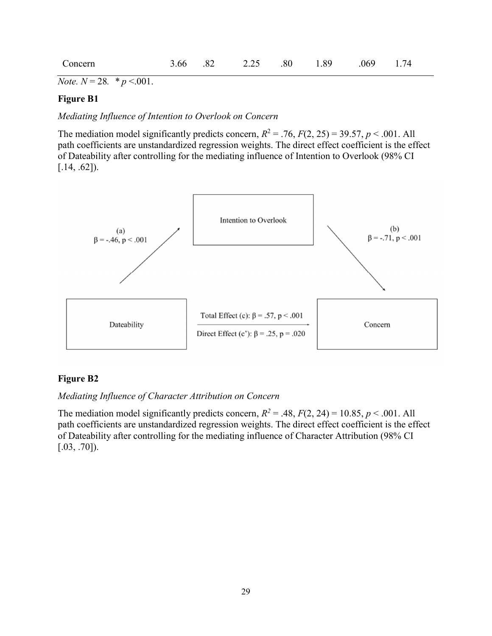| Concern | 3.66 |  | 2.25 | .80 | 1.89 | .069 | 1 74 |
|---------|------|--|------|-----|------|------|------|
|---------|------|--|------|-----|------|------|------|

*Note.*  $N = 28.$  \*  $p < .001$ .

## Figure B1

Mediating Influence of Intention to Overlook on Concern

The mediation model significantly predicts concern,  $R^2 = .76$ ,  $F(2, 25) = 39.57$ ,  $p < .001$ . All path coefficients are unstandardized regression weights. The direct effect coefficient is the effect of Dateability after controlling for the mediating influence of Intention to Overlook (98% CI  $[.14, .62]$ ).



#### Figure B2

#### Mediating Influence of Character Attribution on Concern

The mediation model significantly predicts concern,  $R^2 = .48$ ,  $F(2, 24) = 10.85$ ,  $p < .001$ . All path coefficients are unstandardized regression weights. The direct effect coefficient is the effect of Dateability after controlling for the mediating influence of Character Attribution (98% CI [.03, .70]).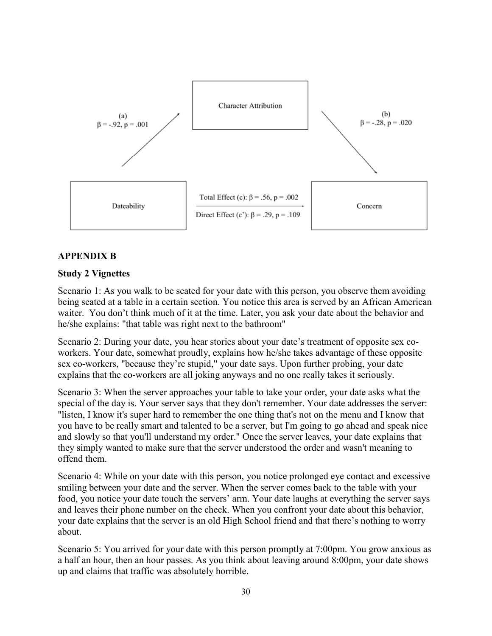

## APPENDIX B

#### Study 2 Vignettes

Scenario 1: As you walk to be seated for your date with this person, you observe them avoiding being seated at a table in a certain section. You notice this area is served by an African American waiter. You don't think much of it at the time. Later, you ask your date about the behavior and he/she explains: "that table was right next to the bathroom"

Scenario 2: During your date, you hear stories about your date's treatment of opposite sex coworkers. Your date, somewhat proudly, explains how he/she takes advantage of these opposite sex co-workers, "because they're stupid," your date says. Upon further probing, your date explains that the co-workers are all joking anyways and no one really takes it seriously.

Scenario 3: When the server approaches your table to take your order, your date asks what the special of the day is. Your server says that they don't remember. Your date addresses the server: "listen, I know it's super hard to remember the one thing that's not on the menu and I know that you have to be really smart and talented to be a server, but I'm going to go ahead and speak nice and slowly so that you'll understand my order." Once the server leaves, your date explains that they simply wanted to make sure that the server understood the order and wasn't meaning to offend them.

Scenario 4: While on your date with this person, you notice prolonged eye contact and excessive smiling between your date and the server. When the server comes back to the table with your food, you notice your date touch the servers' arm. Your date laughs at everything the server says and leaves their phone number on the check. When you confront your date about this behavior, your date explains that the server is an old High School friend and that there's nothing to worry about.

Scenario 5: You arrived for your date with this person promptly at 7:00pm. You grow anxious as a half an hour, then an hour passes. As you think about leaving around 8:00pm, your date shows up and claims that traffic was absolutely horrible.